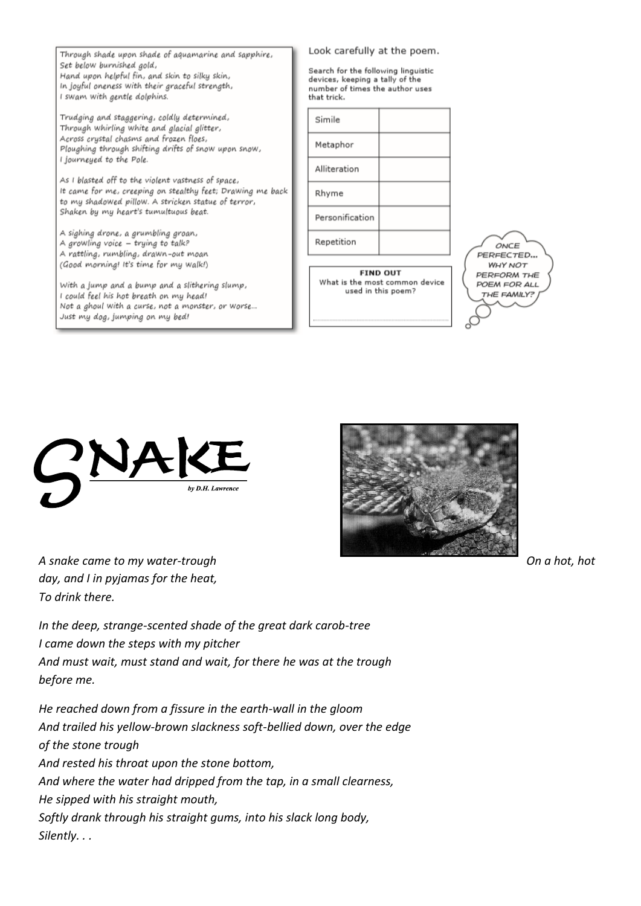Through shade upon shade of aquamarine and sapphire, Set below burnished gold, Hand upon helpful fin, and skin to silky skin, In joyful oneness with their graceful strength, I swam with gentle dolphins.

Trudging and staggering, coldly determined, Through whirling white and glacial glitter, Across crystal chasms and frozen floes, Ploughing through shifting drifts of snow upon snow, I journeyed to the Pole.

As I blasted off to the violent vastness of space, It came for me, creeping on stealthy feet; Drawing me back to my shadowed pillow. A stricken statue of terror, Shaken by my heart's tumultuous beat.

A sighing drone, a grumbling groan, A growling voice – trying to talk? A rattling, rumbling, drawn-out moan (Good morning! It's time for my Walk!)

With a jump and a bump and a slithering slump, I could feel his hot breath on my head! Not a ghoul with a curse, not a monster, or worse... Just my dog, jumping on my bed!

#### Look carefully at the poem.

Search for the following linguistic devices, keeping a tally of the number of times the author uses that trick.

| Simile          |  |
|-----------------|--|
| Metaphor        |  |
| Alliteration    |  |
| Rhyme           |  |
| Personification |  |
| Repetition      |  |

**FIND OUT** What is the most common device used in this poem?

ONCE PERFECTED... WHY NOT PERFORM THE POEM FOR ALL THE FAMILY?





*day, and I in pyjamas for the heat, To drink there.*

*In the deep, strange-scented shade of the great dark carob-tree I came down the steps with my pitcher And must wait, must stand and wait, for there he was at the trough before me.*

*He reached down from a fissure in the earth-wall in the gloom And trailed his yellow-brown slackness soft-bellied down, over the edge of the stone trough And rested his throat upon the stone bottom, And where the water had dripped from the tap, in a small clearness, He sipped with his straight mouth, Softly drank through his straight gums, into his slack long body, Silently. . .*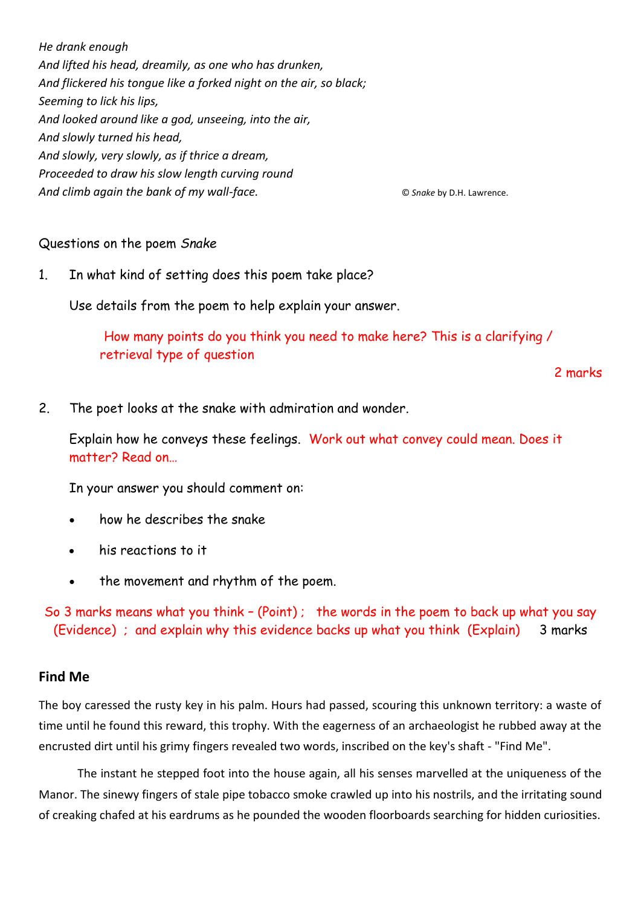*He drank enough And lifted his head, dreamily, as one who has drunken, And flickered his tongue like a forked night on the air, so black; Seeming to lick his lips, And looked around like a god, unseeing, into the air, And slowly turned his head, And slowly, very slowly, as if thrice a dream, Proceeded to draw his slow length curving round And climb again the bank of my wall-face.* © *Snake* by D.H. Lawrence.

## Questions on the poem *Snake*

1. In what kind of setting does this poem take place?

Use details from the poem to help explain your answer.

 How many points do you think you need to make here? This is a clarifying / retrieval type of question

2 marks

2. The poet looks at the snake with admiration and wonder.

Explain how he conveys these feelings. Work out what convey could mean. Does it matter? Read on…

In your answer you should comment on:

- how he describes the snake
- his reactions to it
- the movement and rhythm of the poem.

So 3 marks means what you think – (Point) ; the words in the poem to back up what you say (Evidence) ; and explain why this evidence backs up what you think (Explain) 3 marks

# **Find Me**

The boy caressed the rusty key in his palm. Hours had passed, scouring this unknown territory: a waste of time until he found this reward, this trophy. With the eagerness of an archaeologist he rubbed away at the encrusted dirt until his grimy fingers revealed two words, inscribed on the key's shaft - "Find Me".

The instant he stepped foot into the house again, all his senses marvelled at the uniqueness of the Manor. The sinewy fingers of stale pipe tobacco smoke crawled up into his nostrils, and the irritating sound of creaking chafed at his eardrums as he pounded the wooden floorboards searching for hidden curiosities.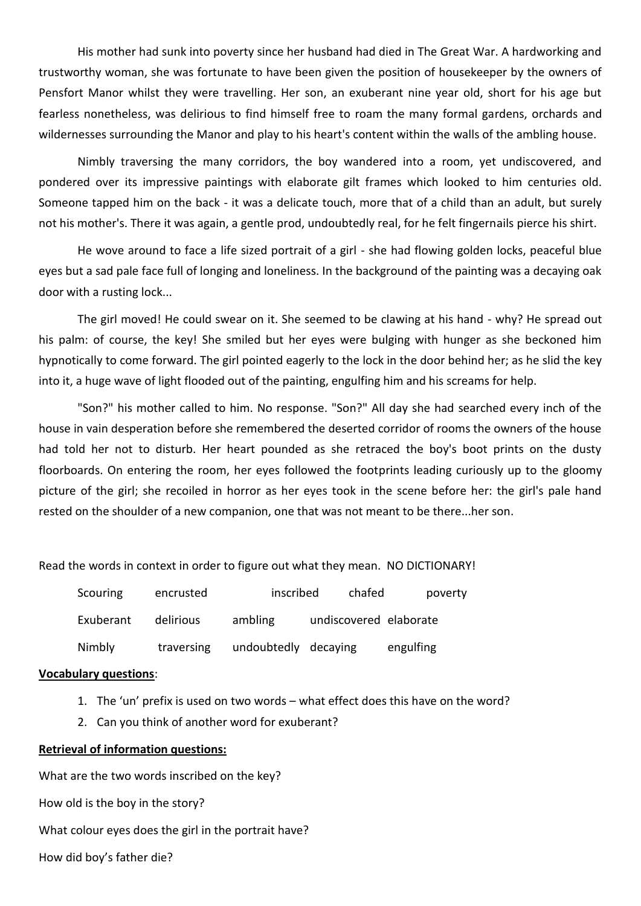His mother had sunk into poverty since her husband had died in The Great War. A hardworking and trustworthy woman, she was fortunate to have been given the position of housekeeper by the owners of Pensfort Manor whilst they were travelling. Her son, an exuberant nine year old, short for his age but fearless nonetheless, was delirious to find himself free to roam the many formal gardens, orchards and wildernesses surrounding the Manor and play to his heart's content within the walls of the ambling house.

Nimbly traversing the many corridors, the boy wandered into a room, yet undiscovered, and pondered over its impressive paintings with elaborate gilt frames which looked to him centuries old. Someone tapped him on the back - it was a delicate touch, more that of a child than an adult, but surely not his mother's. There it was again, a gentle prod, undoubtedly real, for he felt fingernails pierce his shirt.

He wove around to face a life sized portrait of a girl - she had flowing golden locks, peaceful blue eyes but a sad pale face full of longing and loneliness. In the background of the painting was a decaying oak door with a rusting lock...

The girl moved! He could swear on it. She seemed to be clawing at his hand - why? He spread out his palm: of course, the key! She smiled but her eyes were bulging with hunger as she beckoned him hypnotically to come forward. The girl pointed eagerly to the lock in the door behind her; as he slid the key into it, a huge wave of light flooded out of the painting, engulfing him and his screams for help.

"Son?" his mother called to him. No response. "Son?" All day she had searched every inch of the house in vain desperation before she remembered the deserted corridor of rooms the owners of the house had told her not to disturb. Her heart pounded as she retraced the boy's boot prints on the dusty floorboards. On entering the room, her eyes followed the footprints leading curiously up to the gloomy picture of the girl; she recoiled in horror as her eyes took in the scene before her: the girl's pale hand rested on the shoulder of a new companion, one that was not meant to be there...her son.

Read the words in context in order to figure out what they mean. NO DICTIONARY!

| Scouring  | encrusted  | inscribed   | chafed                 | poverty   |
|-----------|------------|-------------|------------------------|-----------|
| Exuberant | delirious  | ambling     | undiscovered elaborate |           |
| Nimbly    | traversing | undoubtedly | decaying               | engulfing |

#### **Vocabulary questions**:

- 1. The 'un' prefix is used on two words what effect does this have on the word?
- 2. Can you think of another word for exuberant?

### **Retrieval of information questions:**

What are the two words inscribed on the key? How old is the boy in the story? What colour eyes does the girl in the portrait have? How did boy's father die?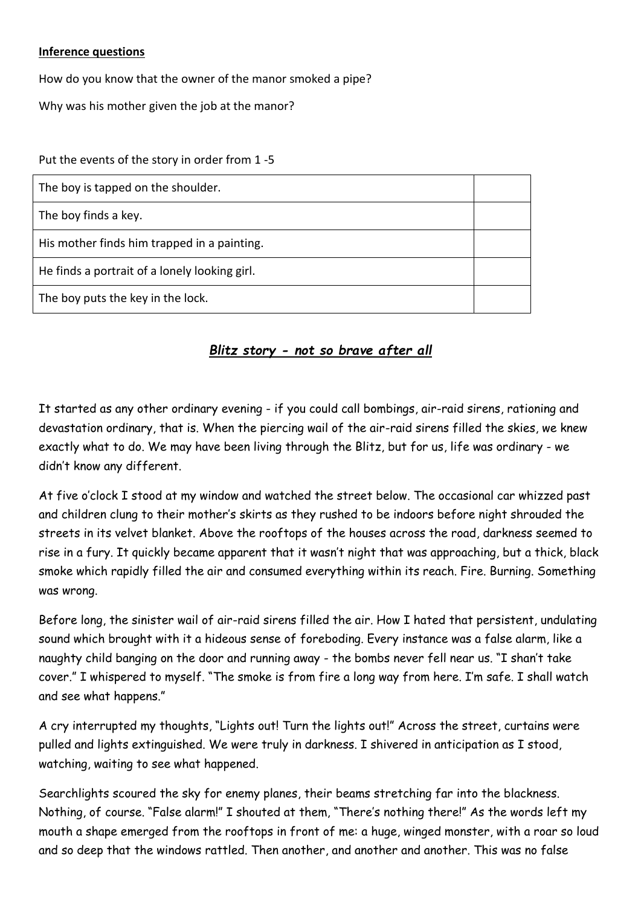## **Inference questions**

How do you know that the owner of the manor smoked a pipe?

Why was his mother given the job at the manor?

Put the events of the story in order from 1 -5

| The boy is tapped on the shoulder.            |  |
|-----------------------------------------------|--|
| The boy finds a key.                          |  |
| His mother finds him trapped in a painting.   |  |
| He finds a portrait of a lonely looking girl. |  |
| The boy puts the key in the lock.             |  |

# *Blitz story - not so brave after all*

It started as any other ordinary evening - if you could call bombings, air-raid sirens, rationing and devastation ordinary, that is. When the piercing wail of the air-raid sirens filled the skies, we knew exactly what to do. We may have been living through the Blitz, but for us, life was ordinary - we didn't know any different.

At five o'clock I stood at my window and watched the street below. The occasional car whizzed past and children clung to their mother's skirts as they rushed to be indoors before night shrouded the streets in its velvet blanket. Above the rooftops of the houses across the road, darkness seemed to rise in a fury. It quickly became apparent that it wasn't night that was approaching, but a thick, black smoke which rapidly filled the air and consumed everything within its reach. Fire. Burning. Something was wrong.

Before long, the sinister wail of air-raid sirens filled the air. How I hated that persistent, undulating sound which brought with it a hideous sense of foreboding. Every instance was a false alarm, like a naughty child banging on the door and running away - the bombs never fell near us. "I shan't take cover." I whispered to myself. "The smoke is from fire a long way from here. I'm safe. I shall watch and see what happens."

A cry interrupted my thoughts, "Lights out! Turn the lights out!" Across the street, curtains were pulled and lights extinguished. We were truly in darkness. I shivered in anticipation as I stood, watching, waiting to see what happened.

Searchlights scoured the sky for enemy planes, their beams stretching far into the blackness. Nothing, of course. "False alarm!" I shouted at them, "There's nothing there!" As the words left my mouth a shape emerged from the rooftops in front of me: a huge, winged monster, with a roar so loud and so deep that the windows rattled. Then another, and another and another. This was no false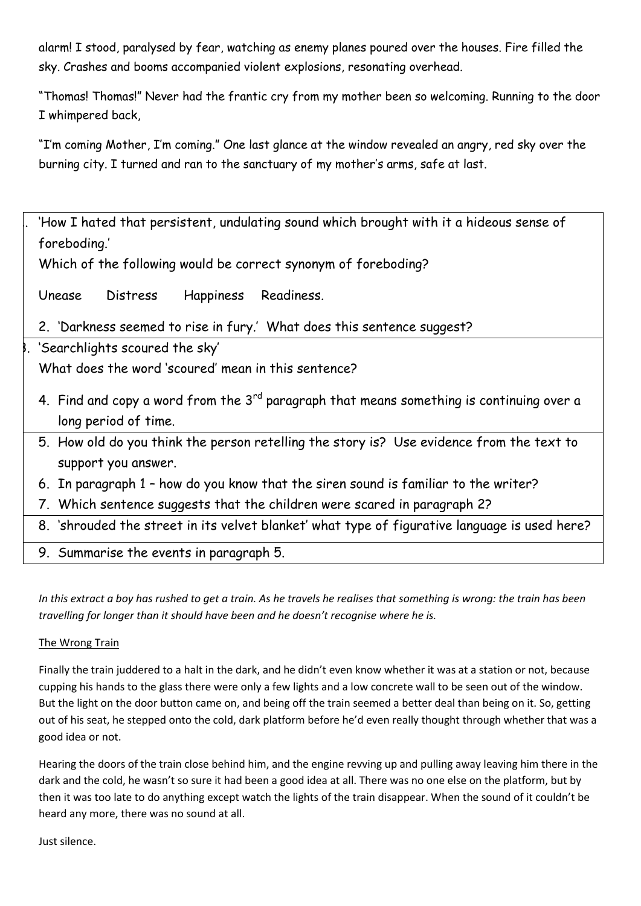alarm! I stood, paralysed by fear, watching as enemy planes poured over the houses. Fire filled the sky. Crashes and booms accompanied violent explosions, resonating overhead.

"Thomas! Thomas!" Never had the frantic cry from my mother been so welcoming. Running to the door I whimpered back,

"I'm coming Mother, I'm coming." One last glance at the window revealed an angry, red sky over the burning city. I turned and ran to the sanctuary of my mother's arms, safe at last.

1. 'How I hated that persistent, undulating sound which brought with it a hideous sense of foreboding.'

Which of the following would be correct synonym of foreboding?

Unease Distress Happiness Readiness.

2. 'Darkness seemed to rise in fury.' What does this sentence suggest?

'Searchlights scoured the sky'

What does the word 'scoured' mean in this sentence?

- 4. Find and copy a word from the  $3^{rd}$  paragraph that means something is continuing over a long period of time.
- 5. How old do you think the person retelling the story is? Use evidence from the text to support you answer.
- 6. In paragraph 1 how do you know that the siren sound is familiar to the writer?
- 7. Which sentence suggests that the children were scared in paragraph 2?
- 8. 'shrouded the street in its velvet blanket' what type of figurative language is used here?
- 9. Summarise the events in paragraph 5.

*In this extract a boy has rushed to get a train. As he travels he realises that something is wrong: the train has been travelling for longer than it should have been and he doesn't recognise where he is.*

## The Wrong Train

Finally the train juddered to a halt in the dark, and he didn't even know whether it was at a station or not, because cupping his hands to the glass there were only a few lights and a low concrete wall to be seen out of the window. But the light on the door button came on, and being off the train seemed a better deal than being on it. So, getting out of his seat, he stepped onto the cold, dark platform before he'd even really thought through whether that was a good idea or not.

Hearing the doors of the train close behind him, and the engine revving up and pulling away leaving him there in the dark and the cold, he wasn't so sure it had been a good idea at all. There was no one else on the platform, but by then it was too late to do anything except watch the lights of the train disappear. When the sound of it couldn't be heard any more, there was no sound at all.

Just silence.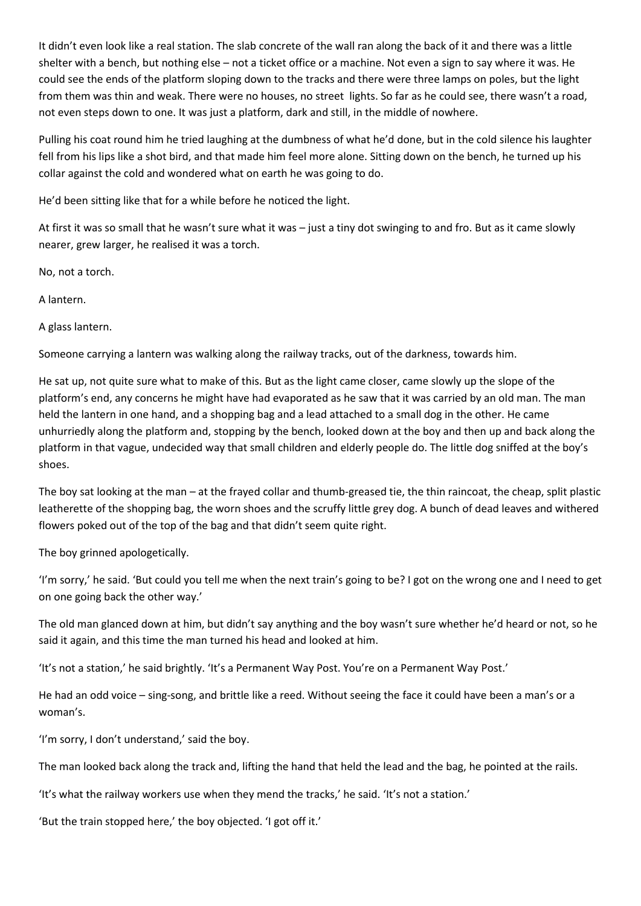It didn't even look like a real station. The slab concrete of the wall ran along the back of it and there was a little shelter with a bench, but nothing else – not a ticket office or a machine. Not even a sign to say where it was. He could see the ends of the platform sloping down to the tracks and there were three lamps on poles, but the light from them was thin and weak. There were no houses, no street lights. So far as he could see, there wasn't a road, not even steps down to one. It was just a platform, dark and still, in the middle of nowhere.

Pulling his coat round him he tried laughing at the dumbness of what he'd done, but in the cold silence his laughter fell from his lips like a shot bird, and that made him feel more alone. Sitting down on the bench, he turned up his collar against the cold and wondered what on earth he was going to do.

He'd been sitting like that for a while before he noticed the light.

At first it was so small that he wasn't sure what it was – just a tiny dot swinging to and fro. But as it came slowly nearer, grew larger, he realised it was a torch.

No, not a torch.

A lantern.

A glass lantern.

Someone carrying a lantern was walking along the railway tracks, out of the darkness, towards him.

He sat up, not quite sure what to make of this. But as the light came closer, came slowly up the slope of the platform's end, any concerns he might have had evaporated as he saw that it was carried by an old man. The man held the lantern in one hand, and a shopping bag and a lead attached to a small dog in the other. He came unhurriedly along the platform and, stopping by the bench, looked down at the boy and then up and back along the platform in that vague, undecided way that small children and elderly people do. The little dog sniffed at the boy's shoes.

The boy sat looking at the man – at the frayed collar and thumb-greased tie, the thin raincoat, the cheap, split plastic leatherette of the shopping bag, the worn shoes and the scruffy little grey dog. A bunch of dead leaves and withered flowers poked out of the top of the bag and that didn't seem quite right.

The boy grinned apologetically.

'I'm sorry,' he said. 'But could you tell me when the next train's going to be? I got on the wrong one and I need to get on one going back the other way.'

The old man glanced down at him, but didn't say anything and the boy wasn't sure whether he'd heard or not, so he said it again, and this time the man turned his head and looked at him.

'It's not a station,' he said brightly. 'It's a Permanent Way Post. You're on a Permanent Way Post.'

He had an odd voice – sing-song, and brittle like a reed. Without seeing the face it could have been a man's or a woman's.

'I'm sorry, I don't understand,' said the boy.

The man looked back along the track and, lifting the hand that held the lead and the bag, he pointed at the rails.

'It's what the railway workers use when they mend the tracks,' he said. 'It's not a station.'

'But the train stopped here,' the boy objected. 'I got off it.'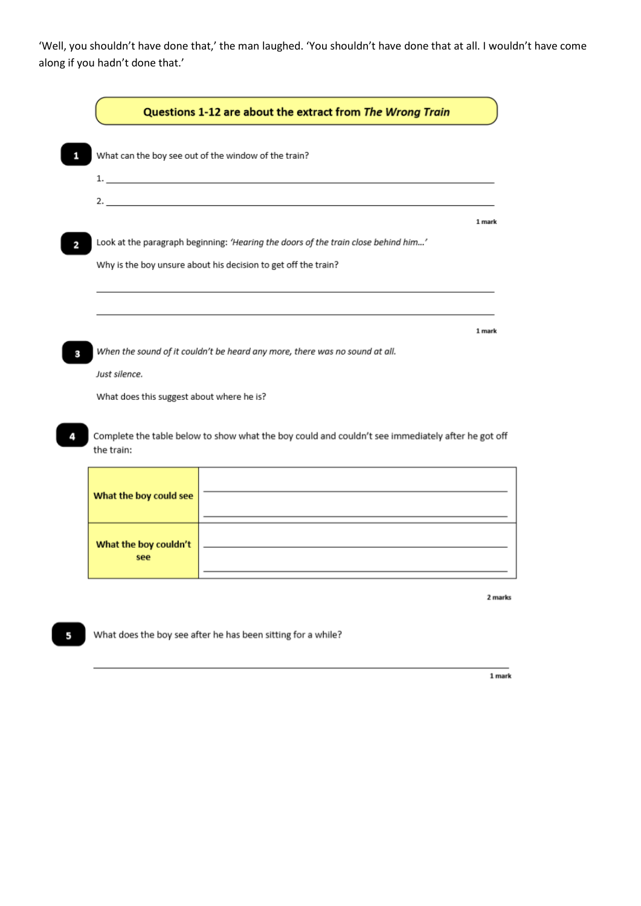'Well, you shouldn't have done that,' the man laughed. 'You shouldn't have done that at all. I wouldn't have come along if you hadn't done that.'

|                                           | Questions 1-12 are about the extract from The Wrong Train                                         |
|-------------------------------------------|---------------------------------------------------------------------------------------------------|
|                                           | What can the boy see out of the window of the train?                                              |
|                                           |                                                                                                   |
|                                           |                                                                                                   |
|                                           | 1 mark                                                                                            |
|                                           | Look at the paragraph beginning: 'Hearing the doors of the train close behind him'                |
|                                           | Why is the boy unsure about his decision to get off the train?                                    |
|                                           |                                                                                                   |
|                                           |                                                                                                   |
|                                           | 1 mark                                                                                            |
|                                           | When the sound of it couldn't be heard any more, there was no sound at all.                       |
| Just silence.                             |                                                                                                   |
| What does this suggest about where he is? |                                                                                                   |
|                                           |                                                                                                   |
|                                           | Complete the table below to show what the boy could and couldn't see immediately after he got off |
| the train:                                |                                                                                                   |
|                                           |                                                                                                   |
| What the boy could see                    |                                                                                                   |
|                                           |                                                                                                   |
| What the boy couldn't                     |                                                                                                   |
| see                                       |                                                                                                   |

2 marks

5

What does the boy see after he has been sitting for a while?

1 mark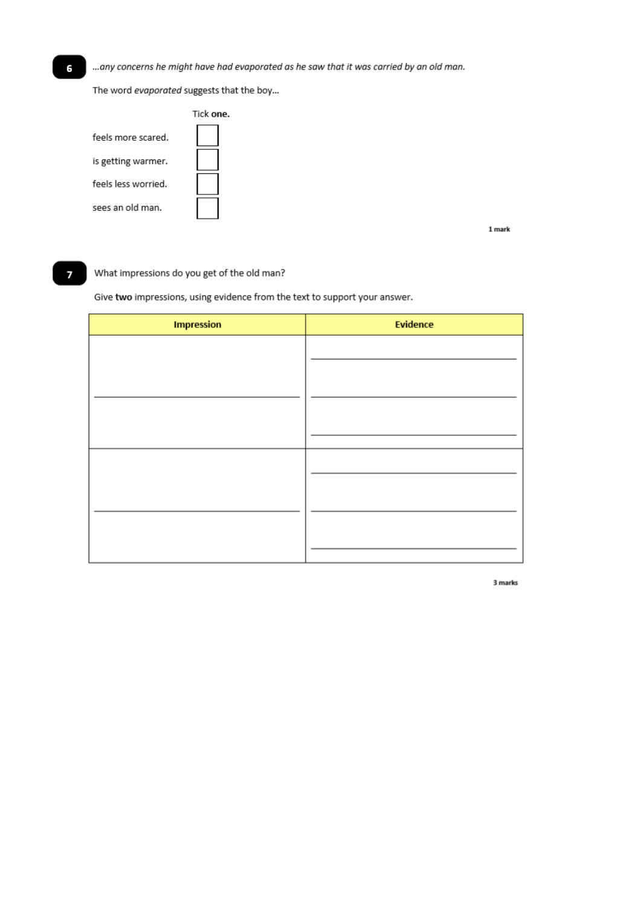... any concerns he might have had evaporated as he saw that it was carried by an old man.

The word evaporated suggests that the boy...



| IUN UITE. |
|-----------|
|           |
|           |
|           |
|           |
|           |

 $1$  mark

#### What impressions do you get of the old man?  $\overline{7}$

Give two impressions, using evidence from the text to support your answer.

3 marks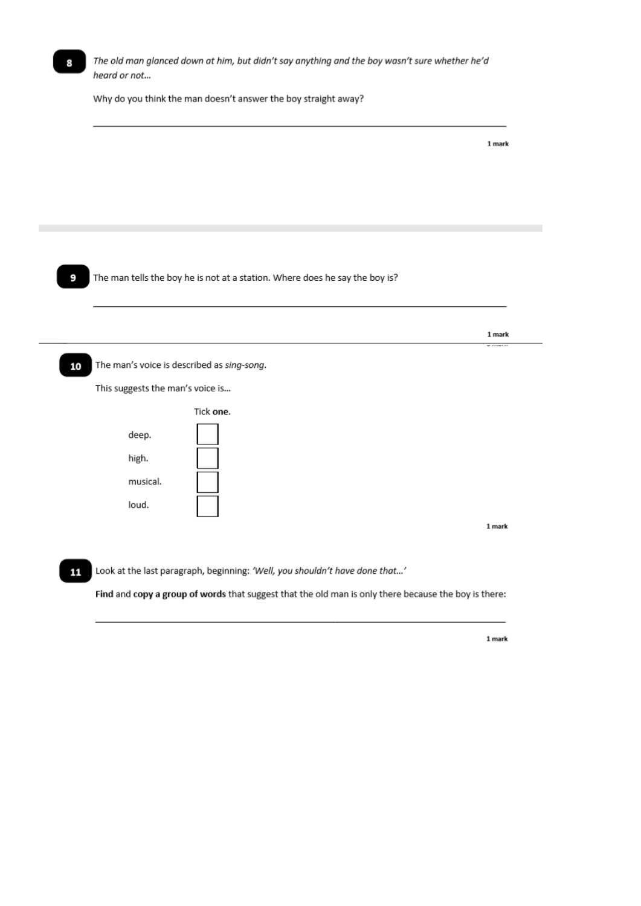| heard or not |                                                                             |           |  |        |
|--------------|-----------------------------------------------------------------------------|-----------|--|--------|
|              | Why do you think the man doesn't answer the boy straight away?              |           |  |        |
|              |                                                                             |           |  | 1 mark |
|              |                                                                             |           |  |        |
|              |                                                                             |           |  |        |
|              |                                                                             |           |  |        |
|              |                                                                             |           |  |        |
| 9            | The man tells the boy he is not at a station. Where does he say the boy is? |           |  |        |
|              |                                                                             |           |  |        |
|              |                                                                             |           |  | 1 mark |
|              |                                                                             |           |  | $ -$   |
| 10           | The man's voice is described as sing-song.                                  |           |  |        |
|              | This suggests the man's voice is                                            |           |  |        |
|              |                                                                             | Tick one. |  |        |
|              | deep.                                                                       |           |  |        |
|              | high.                                                                       |           |  |        |
|              | musical.                                                                    |           |  |        |
|              | loud.                                                                       |           |  |        |

Look at the last paragraph, beginning: 'Well, you shouldn't have done that...' 11

Find and copy a group of words that suggest that the old man is only there because the boy is there:

1 mark